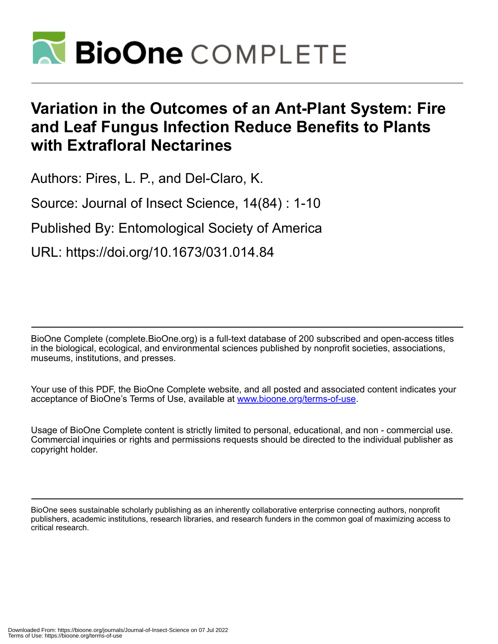

# **Variation in the Outcomes of an Ant-Plant System: Fire and Leaf Fungus Infection Reduce Benefits to Plants with Extrafloral Nectarines**

Authors: Pires, L. P., and Del-Claro, K.

Source: Journal of Insect Science, 14(84) : 1-10

Published By: Entomological Society of America

URL: https://doi.org/10.1673/031.014.84

BioOne Complete (complete.BioOne.org) is a full-text database of 200 subscribed and open-access titles in the biological, ecological, and environmental sciences published by nonprofit societies, associations, museums, institutions, and presses.

Your use of this PDF, the BioOne Complete website, and all posted and associated content indicates your acceptance of BioOne's Terms of Use, available at www.bioone.org/terms-of-use.

Usage of BioOne Complete content is strictly limited to personal, educational, and non - commercial use. Commercial inquiries or rights and permissions requests should be directed to the individual publisher as copyright holder.

BioOne sees sustainable scholarly publishing as an inherently collaborative enterprise connecting authors, nonprofit publishers, academic institutions, research libraries, and research funders in the common goal of maximizing access to critical research.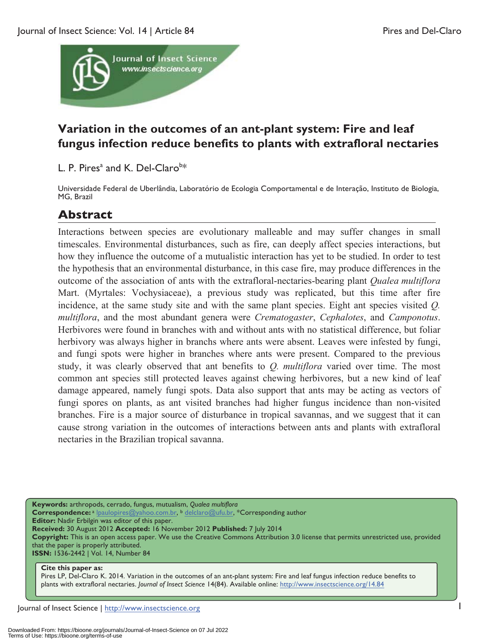

## **Variation in the outcomes of an ant-plant system: Fire and leaf fungus infection reduce benefits to plants with extrafloral nectaries**

L. P. Pires<sup>a</sup> and K. Del-Claro<sup>b\*</sup>

Universidade Federal de Uberlândia, Laboratório de Ecologia Comportamental e de Interação, Instituto de Biologia, MG, Brazil

## **Abstract**

Interactions between species are evolutionary malleable and may suffer changes in small timescales. Environmental disturbances, such as fire, can deeply affect species interactions, but how they influence the outcome of a mutualistic interaction has yet to be studied. In order to test the hypothesis that an environmental disturbance, in this case fire, may produce differences in the outcome of the association of ants with the extrafloral-nectaries-bearing plant *Qualea multiflora*  Mart. (Myrtales: Vochysiaceae), a previous study was replicated, but this time after fire incidence, at the same study site and with the same plant species. Eight ant species visited *Q. multiflora*, and the most abundant genera were *Crematogaster*, *Cephalotes*, and *Camponotus*. Herbivores were found in branches with and without ants with no statistical difference, but foliar herbivory was always higher in branchs where ants were absent. Leaves were infested by fungi, and fungi spots were higher in branches where ants were present. Compared to the previous study, it was clearly observed that ant benefits to *Q. multiflora* varied over time. The most common ant species still protected leaves against chewing herbivores, but a new kind of leaf damage appeared, namely fungi spots. Data also support that ants may be acting as vectors of fungi spores on plants, as ant visited branches had higher fungus incidence than non-visited branches. Fire is a major source of disturbance in tropical savannas, and we suggest that it can cause strong variation in the outcomes of interactions between ants and plants with extrafloral nectaries in the Brazilian tropical savanna.

**Keywords:** arthropods, cerrado, fungus, mutualism, *Qualea multiflora* **Correspondence:**<sup>a</sup> lpaulopires@yahoo.com.br, b delclaro@ufu.br, \*Corresponding author **Editor:** Nadir Erbilgin was editor of this paper. **Received:** 30 August 2012 **Accepted:** 16 November 2012 **Published:** 7 July 2014 **Copyright:** This is an open access paper. We use the Creative Commons Attribution 3.0 license that permits unrestricted use, provided that the paper is properly attributed. **ISSN:** 1536-2442 | Vol. 14, Number 84

#### **Cite this paper as:**

Pires LP, Del-Claro K. 2014. Variation in the outcomes of an ant-plant system: Fire and leaf fungus infection reduce benefits to plants with extrafloral nectaries. *Journal of Insect Science* 14(84). Available online: http://www.insectscience.org/14.84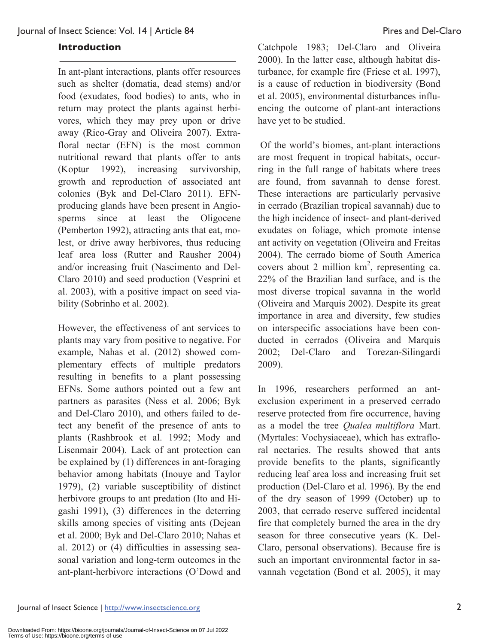## **Introduction**

In ant-plant interactions, plants offer resources such as shelter (domatia, dead stems) and/or food (exudates, food bodies) to ants, who in return may protect the plants against herbivores, which they may prey upon or drive away (Rico-Gray and Oliveira 2007). Extrafloral nectar (EFN) is the most common nutritional reward that plants offer to ants (Koptur 1992), increasing survivorship, growth and reproduction of associated ant colonies (Byk and Del-Claro 2011). EFNproducing glands have been present in Angiosperms since at least the Oligocene (Pemberton 1992), attracting ants that eat, molest, or drive away herbivores, thus reducing leaf area loss (Rutter and Rausher 2004) and/or increasing fruit (Nascimento and Del-Claro 2010) and seed production (Vesprini et al. 2003), with a positive impact on seed viability (Sobrinho et al. 2002).

However, the effectiveness of ant services to plants may vary from positive to negative. For example, Nahas et al. (2012) showed complementary effects of multiple predators resulting in benefits to a plant possessing EFNs. Some authors pointed out a few ant partners as parasites (Ness et al. 2006; Byk and Del-Claro 2010), and others failed to detect any benefit of the presence of ants to plants (Rashbrook et al. 1992; Mody and Lisenmair 2004). Lack of ant protection can be explained by (1) differences in ant-foraging behavior among habitats (Inouye and Taylor 1979), (2) variable susceptibility of distinct herbivore groups to ant predation (Ito and Higashi 1991), (3) differences in the deterring skills among species of visiting ants (Dejean et al. 2000; Byk and Del-Claro 2010; Nahas et al. 2012) or (4) difficulties in assessing seasonal variation and long-term outcomes in the ant-plant-herbivore interactions (O'Dowd and Catchpole 1983; Del-Claro and Oliveira 2000). In the latter case, although habitat disturbance, for example fire (Friese et al. 1997), is a cause of reduction in biodiversity (Bond et al. 2005), environmental disturbances influencing the outcome of plant-ant interactions have yet to be studied.

 Of the world's biomes, ant-plant interactions are most frequent in tropical habitats, occurring in the full range of habitats where trees are found, from savannah to dense forest. These interactions are particularly pervasive in cerrado (Brazilian tropical savannah) due to the high incidence of insect- and plant-derived exudates on foliage, which promote intense ant activity on vegetation (Oliveira and Freitas 2004). The cerrado biome of South America covers about 2 million  $km^2$ , representing ca. 22% of the Brazilian land surface, and is the most diverse tropical savanna in the world (Oliveira and Marquis 2002). Despite its great importance in area and diversity, few studies on interspecific associations have been conducted in cerrados (Oliveira and Marquis 2002; Del-Claro and Torezan-Silingardi 2009).

In 1996, researchers performed an antexclusion experiment in a preserved cerrado reserve protected from fire occurrence, having as a model the tree *Qualea multiflora* Mart. (Myrtales: Vochysiaceae), which has extrafloral nectaries. The results showed that ants provide benefits to the plants, significantly reducing leaf area loss and increasing fruit set production (Del-Claro et al. 1996). By the end of the dry season of 1999 (October) up to 2003, that cerrado reserve suffered incidental fire that completely burned the area in the dry season for three consecutive years (K. Del-Claro, personal observations). Because fire is such an important environmental factor in savannah vegetation (Bond et al. 2005), it may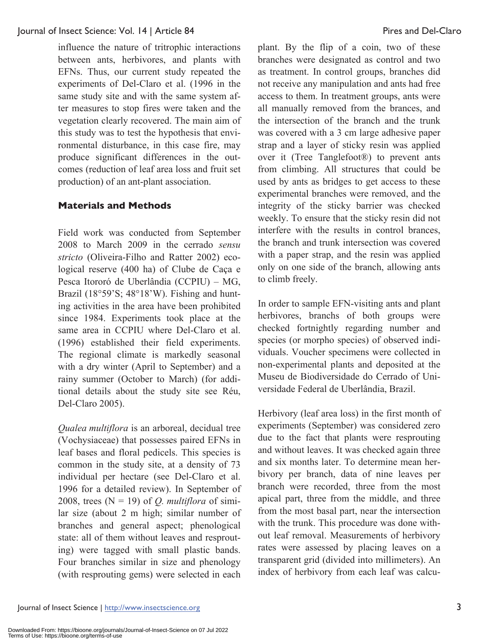influence the nature of tritrophic interactions between ants, herbivores, and plants with EFNs. Thus, our current study repeated the experiments of Del-Claro et al. (1996 in the same study site and with the same system after measures to stop fires were taken and the vegetation clearly recovered. The main aim of this study was to test the hypothesis that environmental disturbance, in this case fire, may produce significant differences in the outcomes (reduction of leaf area loss and fruit set production) of an ant-plant association.

## **Materials and Methods**

Field work was conducted from September 2008 to March 2009 in the cerrado *sensu stricto* (Oliveira-Filho and Ratter 2002) ecological reserve (400 ha) of Clube de Caça e Pesca Itororó de Uberlândia (CCPIU) – MG, Brazil (18°59'S; 48°18'W). Fishing and hunting activities in the area have been prohibited since 1984. Experiments took place at the same area in CCPIU where Del-Claro et al. (1996) established their field experiments. The regional climate is markedly seasonal with a dry winter (April to September) and a rainy summer (October to March) (for additional details about the study site see Réu, Del-Claro 2005).

*Qualea multiflora* is an arboreal, decidual tree (Vochysiaceae) that possesses paired EFNs in leaf bases and floral pedicels. This species is common in the study site, at a density of 73 individual per hectare (see Del-Claro et al. 1996 for a detailed review). In September of 2008, trees  $(N = 19)$  of *Q. multiflora* of similar size (about 2 m high; similar number of branches and general aspect; phenological state: all of them without leaves and resprouting) were tagged with small plastic bands. Four branches similar in size and phenology (with resprouting gems) were selected in each

plant. By the flip of a coin, two of these branches were designated as control and two as treatment. In control groups, branches did not receive any manipulation and ants had free access to them. In treatment groups, ants were all manually removed from the brances, and the intersection of the branch and the trunk was covered with a 3 cm large adhesive paper strap and a layer of sticky resin was applied over it (Tree Tanglefoot®) to prevent ants from climbing. All structures that could be used by ants as bridges to get access to these experimental branches were removed, and the integrity of the sticky barrier was checked weekly. To ensure that the sticky resin did not interfere with the results in control brances, the branch and trunk intersection was covered with a paper strap, and the resin was applied only on one side of the branch, allowing ants to climb freely.

In order to sample EFN-visiting ants and plant herbivores, branchs of both groups were checked fortnightly regarding number and species (or morpho species) of observed individuals. Voucher specimens were collected in non-experimental plants and deposited at the Museu de Biodiversidade do Cerrado of Universidade Federal de Uberlândia, Brazil.

Herbivory (leaf area loss) in the first month of experiments (September) was considered zero due to the fact that plants were resprouting and without leaves. It was checked again three and six months later. To determine mean herbivory per branch, data of nine leaves per branch were recorded, three from the most apical part, three from the middle, and three from the most basal part, near the intersection with the trunk. This procedure was done without leaf removal. Measurements of herbivory rates were assessed by placing leaves on a transparent grid (divided into millimeters). An index of herbivory from each leaf was calcu-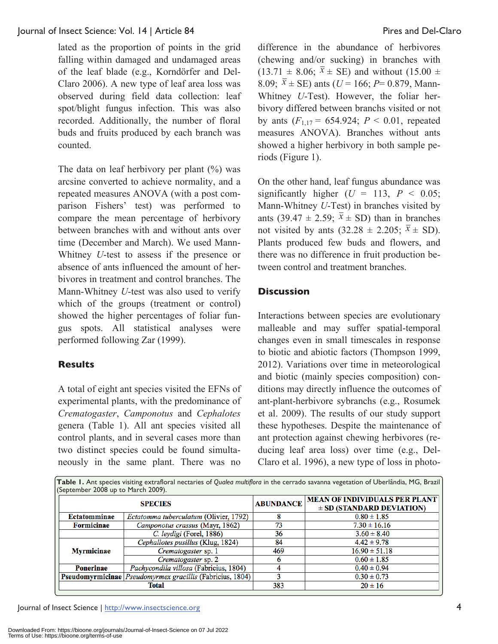lated as the proportion of points in the grid falling within damaged and undamaged areas of the leaf blade (e.g., Korndörfer and Del-Claro 2006). A new type of leaf area loss was observed during field data collection: leaf spot/blight fungus infection. This was also recorded. Additionally, the number of floral buds and fruits produced by each branch was counted.

The data on leaf herbivory per plant  $(\%)$  was arcsine converted to achieve normality, and a repeated measures ANOVA (with a post comparison Fishers' test) was performed to compare the mean percentage of herbivory between branches with and without ants over time (December and March). We used Mann-Whitney *U*-test to assess if the presence or absence of ants influenced the amount of herbivores in treatment and control branches. The Mann-Whitney *U*-test was also used to verify which of the groups (treatment or control) showed the higher percentages of foliar fungus spots. All statistical analyses were performed following Zar (1999).

## **Results**

A total of eight ant species visited the EFNs of experimental plants, with the predominance of *Crematogaster*, *Camponotus* and *Cephalotes* genera (Table 1). All ant species visited all control plants, and in several cases more than two distinct species could be found simultaneously in the same plant. There was no difference in the abundance of herbivores (chewing and/or sucking) in branches with  $(13.71 \pm 8.06; \overline{x} \pm \text{SE})$  and without  $(15.00 \pm$ 8.09;  $\bar{x} \pm$  SE) ants (*U* = 166; *P* = 0.879, Mann-Whitney *U*-Test). However, the foliar herbivory differed between branchs visited or not by ants  $(F_{1,17} = 654.924; P < 0.01$ , repeated measures ANOVA). Branches without ants showed a higher herbivory in both sample periods (Figure 1).

On the other hand, leaf fungus abundance was significantly higher  $(U = 113, P < 0.05)$ ; Mann-Whitney *U*-Test) in branches visited by ants (39.47  $\pm$  2.59;  $\bar{x} \pm$  SD) than in branches not visited by ants  $(32.28 \pm 2.205; \overline{x} \pm SD)$ . Plants produced few buds and flowers, and there was no difference in fruit production between control and treatment branches.

## **Discussion**

Interactions between species are evolutionary malleable and may suffer spatial-temporal changes even in small timescales in response to biotic and abiotic factors (Thompson 1999, 2012). Variations over time in meteorological and biotic (mainly species composition) conditions may directly influence the outcomes of ant-plant-herbivore sybranchs (e.g., Rosumek et al. 2009). The results of our study support these hypotheses. Despite the maintenance of ant protection against chewing herbivores (reducing leaf area loss) over time (e.g., Del-Claro et al. 1996), a new type of loss in photo-

| Table 1. Ant species visiting extrafloral nectaries of Qualea multiflora in the cerrado savanna vegetation of Uberlândia, MG, Brazil<br>(September 2008 up to March 2009). |                                        |                  |                                                                       |
|----------------------------------------------------------------------------------------------------------------------------------------------------------------------------|----------------------------------------|------------------|-----------------------------------------------------------------------|
| <b>SPECIES</b>                                                                                                                                                             |                                        | <b>ABUNDANCE</b> | <b>MEAN OF INDIVIDUALS PER PLANT</b><br>$\pm$ SD (STANDARD DEVIATION) |
| <b>Ectatomminae</b>                                                                                                                                                        | Ectatomma tuberculatum (Olivier, 1792) |                  | $0.80 \pm 1.85$                                                       |
| <b>Formicinae</b>                                                                                                                                                          | Camponotus crassus (Mayr, 1862)        | 73               | $7.30 \pm 16.16$                                                      |
|                                                                                                                                                                            | C. leydigi (Forel, 1886)               | 36               | $3.60 \pm 8.40$                                                       |
| <b>Myrmicinae</b>                                                                                                                                                          | Cephallotes pusillus (Klug, 1824)      | 84               | $4.42 \pm 9.78$                                                       |
|                                                                                                                                                                            | Crematogaster sp. 1                    | 469              | $16.90 \pm 51.18$                                                     |
|                                                                                                                                                                            | Crematogaster sp. 2                    |                  | $0.60 \pm 1.85$                                                       |
| <b>Ponerinae</b>                                                                                                                                                           | Pachycondila villosa (Fabricius, 1804) |                  | $0.40 \pm 0.94$                                                       |
| <b>Pseudomyrmicinae</b> <i>Pseudomyrmex gracillis</i> (Fabricius, 1804)                                                                                                    |                                        |                  | $0.30 \pm 0.73$                                                       |
| Total                                                                                                                                                                      |                                        | 383              | $20 \pm 16$                                                           |

Journal of Insect Science | http://www.insectscience.org 4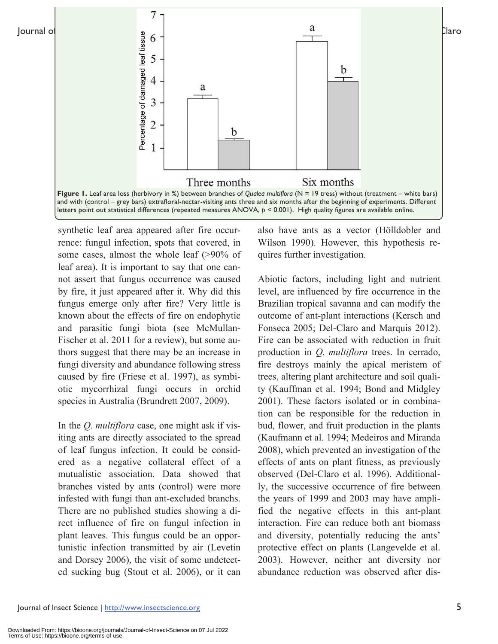



synthetic leaf area appeared after fire occurrence: fungul infection, spots that covered, in some cases, almost the whole leaf (>90% of leaf area). It is important to say that one cannot assert that fungus occurrence was caused by fire, it just appeared after it. Why did this fungus emerge only after fire? Very little is known about the effects of fire on endophytic and parasitic fungi biota (see McMullan-Fischer et al. 2011 for a review), but some authors suggest that there may be an increase in fungi diversity and abundance following stress caused by fire (Friese et al. 1997), as symbiotic mycorrhizal fungi occurs in orchid species in Australia (Brundrett 2007, 2009).

In the *Q. multiflora* case, one might ask if visiting ants are directly associated to the spread of leaf fungus infection. It could be considered as a negative collateral effect of a mutualistic association. Data showed that branches visted by ants (control) were more infested with fungi than ant-excluded branchs. There are no published studies showing a direct influence of fire on fungul infection in plant leaves. This fungus could be an opportunistic infection transmitted by air (Levetin and Dorsey 2006), the visit of some undetected sucking bug (Stout et al. 2006), or it can also have ants as a vector (Hölldobler and Wilson 1990). However, this hypothesis requires further investigation.

Abiotic factors, including light and nutrient level, are influenced by fire occurrence in the Brazilian tropical savanna and can modify the outcome of ant-plant interactions (Kersch and Fonseca 2005; Del-Claro and Marquis 2012). Fire can be associated with reduction in fruit production in *Q. multiflora* trees. In cerrado, fire destroys mainly the apical meristem of trees, altering plant architecture and soil quality (Kauffman et al. 1994; Bond and Midgley 2001). These factors isolated or in combination can be responsible for the reduction in bud, flower, and fruit production in the plants (Kaufmann et al. 1994; Medeiros and Miranda 2008), which prevented an investigation of the effects of ants on plant fitness, as previously observed (Del-Claro et al. 1996). Additionally, the successive occurrence of fire between the years of 1999 and 2003 may have amplified the negative effects in this ant-plant interaction. Fire can reduce both ant biomass and diversity, potentially reducing the ants' protective effect on plants (Langevelde et al. 2003). However, neither ant diversity nor abundance reduction was observed after dis-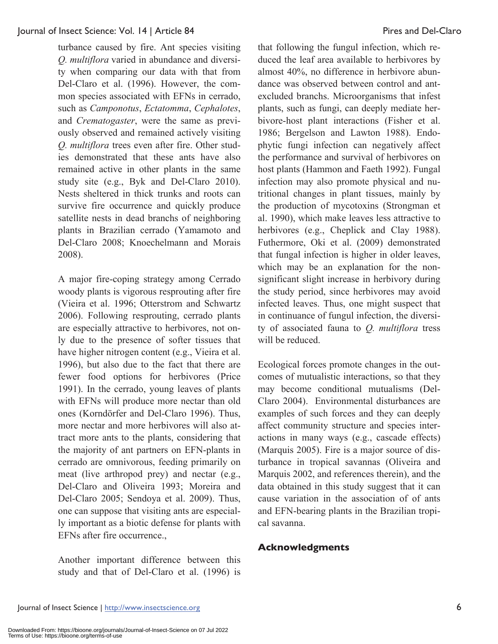turbance caused by fire. Ant species visiting *Q. multiflora* varied in abundance and diversity when comparing our data with that from Del-Claro et al. (1996). However, the common species associated with EFNs in cerrado, such as *Camponotus*, *Ectatomma*, *Cephalotes*, and *Crematogaster*, were the same as previously observed and remained actively visiting *Q. multiflora* trees even after fire. Other studies demonstrated that these ants have also remained active in other plants in the same study site (e.g., Byk and Del-Claro 2010). Nests sheltered in thick trunks and roots can survive fire occurrence and quickly produce satellite nests in dead branchs of neighboring plants in Brazilian cerrado (Yamamoto and Del-Claro 2008; Knoechelmann and Morais 2008).

A major fire-coping strategy among Cerrado woody plants is vigorous resprouting after fire (Vieira et al. 1996; Otterstrom and Schwartz 2006). Following resprouting, cerrado plants are especially attractive to herbivores, not only due to the presence of softer tissues that have higher nitrogen content (e.g., Vieira et al. 1996), but also due to the fact that there are fewer food options for herbivores (Price 1991). In the cerrado, young leaves of plants with EFNs will produce more nectar than old ones (Korndörfer and Del-Claro 1996). Thus, more nectar and more herbivores will also attract more ants to the plants, considering that the majority of ant partners on EFN-plants in cerrado are omnivorous, feeding primarily on meat (live arthropod prey) and nectar (e.g., Del-Claro and Oliveira 1993; Moreira and Del-Claro 2005; Sendoya et al. 2009). Thus, one can suppose that visiting ants are especially important as a biotic defense for plants with EFNs after fire occurrence.,

Another important difference between this study and that of Del-Claro et al. (1996) is

that following the fungul infection, which reduced the leaf area available to herbivores by almost 40%, no difference in herbivore abundance was observed between control and antexcluded branchs. Microorganisms that infest plants, such as fungi, can deeply mediate herbivore-host plant interactions (Fisher et al. 1986; Bergelson and Lawton 1988). Endophytic fungi infection can negatively affect the performance and survival of herbivores on host plants (Hammon and Faeth 1992). Fungal infection may also promote physical and nutritional changes in plant tissues, mainly by the production of mycotoxins (Strongman et al. 1990), which make leaves less attractive to herbivores (e.g., Cheplick and Clay 1988). Futhermore, Oki et al. (2009) demonstrated that fungal infection is higher in older leaves, which may be an explanation for the nonsignificant slight increase in herbivory during the study period, since herbivores may avoid infected leaves. Thus, one might suspect that in continuance of fungul infection, the diversity of associated fauna to *Q. multiflora* tress will be reduced.

Ecological forces promote changes in the outcomes of mutualistic interactions, so that they may become conditional mutualisms (Del-Claro 2004). Environmental disturbances are examples of such forces and they can deeply affect community structure and species interactions in many ways (e.g., cascade effects) (Marquis 2005). Fire is a major source of disturbance in tropical savannas (Oliveira and Marquis 2002, and references therein), and the data obtained in this study suggest that it can cause variation in the association of of ants and EFN-bearing plants in the Brazilian tropical savanna.

## **Acknowledgments**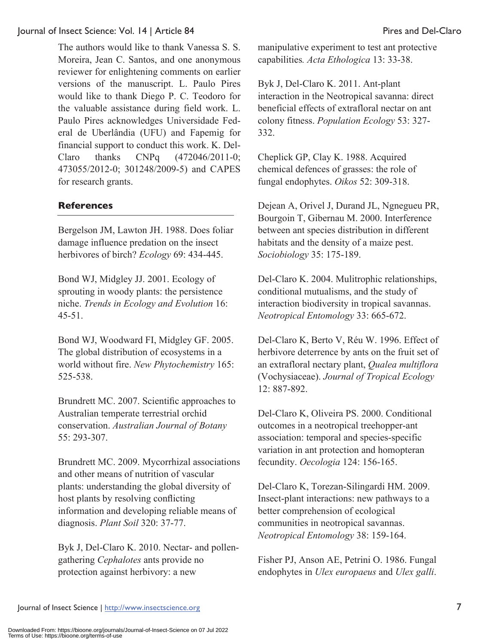The authors would like to thank Vanessa S. S. Moreira, Jean C. Santos, and one anonymous reviewer for enlightening comments on earlier versions of the manuscript. L. Paulo Pires would like to thank Diego P. C. Teodoro for the valuable assistance during field work. L. Paulo Pires acknowledges Universidade Federal de Uberlândia (UFU) and Fapemig for financial support to conduct this work. K. Del-Claro thanks CNPq (472046/2011-0; 473055/2012-0; 301248/2009-5) and CAPES for research grants.

## **References**

Bergelson JM, Lawton JH. 1988. Does foliar damage influence predation on the insect herbivores of birch? *Ecology* 69: 434-445.

Bond WJ, Midgley JJ. 2001. Ecology of sprouting in woody plants: the persistence niche. *Trends in Ecology and Evolution* 16: 45-51.

Bond WJ, Woodward FI, Midgley GF. 2005. The global distribution of ecosystems in a world without fire. *New Phytochemistry* 165: 525-538.

Brundrett MC. 2007. Scientific approaches to Australian temperate terrestrial orchid conservation. *Australian Journal of Botany* 55: 293-307.

Brundrett MC. 2009. Mycorrhizal associations and other means of nutrition of vascular plants: understanding the global diversity of host plants by resolving conflicting information and developing reliable means of diagnosis. *Plant Soil* 320: 37-77.

Byk J, Del-Claro K. 2010. Nectar- and pollengathering *Cephalotes* ants provide no protection against herbivory: a new

manipulative experiment to test ant protective capabilities*. Acta Ethologica* 13: 33-38.

Byk J, Del-Claro K. 2011. Ant-plant interaction in the Neotropical savanna: direct beneficial effects of extrafloral nectar on ant colony fitness. *Population Ecology* 53: 327- 332.

Cheplick GP, Clay K. 1988. Acquired chemical defences of grasses: the role of fungal endophytes. *Oikos* 52: 309-318.

Dejean A, Orivel J, Durand JL, Ngnegueu PR, Bourgoin T, Gibernau M. 2000. Interference between ant species distribution in different habitats and the density of a maize pest. *Sociobiology* 35: 175-189.

Del-Claro K. 2004. Mulitrophic relationships, conditional mutualisms, and the study of interaction biodiversity in tropical savannas. *Neotropical Entomology* 33: 665-672.

Del-Claro K, Berto V, Réu W. 1996. Effect of herbivore deterrence by ants on the fruit set of an extrafloral nectary plant, *Qualea multiflora*  (Vochysiaceae). *Journal of Tropical Ecology* 12: 887-892.

Del-Claro K, Oliveira PS. 2000. Conditional outcomes in a neotropical treehopper-ant association: temporal and species-specific variation in ant protection and homopteran fecundity. *Oecologia* 124: 156-165.

Del-Claro K, Torezan-Silingardi HM. 2009. Insect-plant interactions: new pathways to a better comprehension of ecological communities in neotropical savannas. *Neotropical Entomology* 38: 159-164.

Fisher PJ, Anson AE, Petrini O. 1986. Fungal endophytes in *Ulex europaeus* and *Ulex galli*.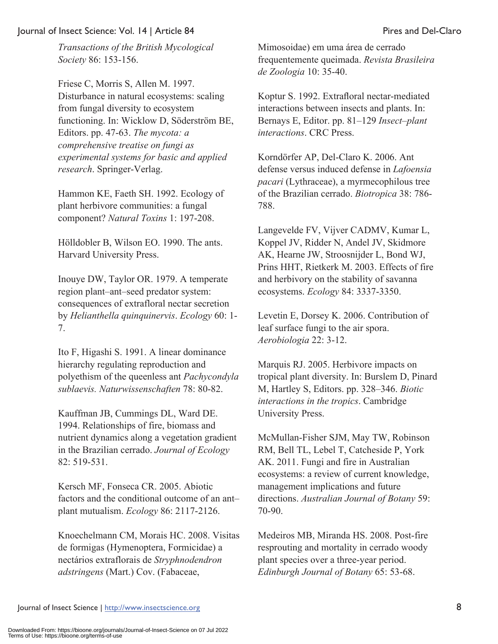*Transactions of the British Mycological Society* 86: 153-156.

Friese C, Morris S, Allen M. 1997. Disturbance in natural ecosystems: scaling from fungal diversity to ecosystem functioning. In: Wicklow D, Söderström BE, Editors. pp. 47-63. *The mycota: a comprehensive treatise on fungi as experimental systems for basic and applied research*. Springer-Verlag.

Hammon KE, Faeth SH. 1992. Ecology of plant herbivore communities: a fungal component? *Natural Toxins* 1: 197-208.

Hölldobler B, Wilson EO. 1990. The ants. Harvard University Press.

Inouye DW, Taylor OR. 1979. A temperate region plant–ant–seed predator system: consequences of extrafloral nectar secretion by *Helianthella quinquinervis*. *Ecology* 60: 1- 7.

Ito F, Higashi S. 1991. A linear dominance hierarchy regulating reproduction and polyethism of the queenless ant *Pachycondyla sublaevis. Naturwissenschaften* 78: 80-82.

Kauffman JB, Cummings DL, Ward DE. 1994. Relationships of fire, biomass and nutrient dynamics along a vegetation gradient in the Brazilian cerrado. *Journal of Ecology* 82: 519-531.

Kersch MF, Fonseca CR. 2005. Abiotic factors and the conditional outcome of an ant– plant mutualism. *Ecology* 86: 2117-2126.

Knoechelmann CM, Morais HC. 2008. Visitas de formigas (Hymenoptera, Formicidae) a nectários extraflorais de *Stryphnodendron adstringens* (Mart.) Cov. (Fabaceae,

Mimosoidae) em uma área de cerrado frequentemente queimada. *Revista Brasileira de Zoologia* 10: 35-40.

Koptur S. 1992. Extrafloral nectar-mediated interactions between insects and plants. In: Bernays E, Editor. pp. 81–129 *Insect–plant interactions*. CRC Press.

Korndörfer AP, Del-Claro K. 2006. Ant defense versus induced defense in *Lafoensia pacari* (Lythraceae), a myrmecophilous tree of the Brazilian cerrado. *Biotropica* 38: 786- 788.

Langevelde FV, Vijver CADMV, Kumar L, Koppel JV, Ridder N, Andel JV, Skidmore AK, Hearne JW, Stroosnijder L, Bond WJ, Prins HHT, Rietkerk M. 2003. Effects of fire and herbivory on the stability of savanna ecosystems. *Ecology* 84: 3337-3350.

Levetin E, Dorsey K. 2006. Contribution of leaf surface fungi to the air spora. *Aerobiologia* 22: 3-12.

Marquis RJ. 2005. Herbivore impacts on tropical plant diversity. In: Burslem D, Pinard M, Hartley S, Editors. pp. 328–346. *Biotic interactions in the tropics*. Cambridge University Press.

McMullan-Fisher SJM, May TW, Robinson RM, Bell TL, Lebel T, Catcheside P, York AK. 2011. Fungi and fire in Australian ecosystems: a review of current knowledge, management implications and future directions. *Australian Journal of Botany* 59: 70-90.

Medeiros MB, Miranda HS. 2008. Post-fire resprouting and mortality in cerrado woody plant species over a three-year period. *Edinburgh Journal of Botany* 65: 53-68.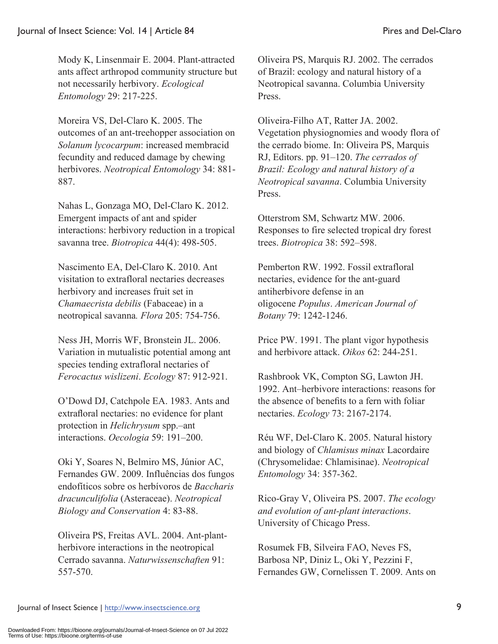Mody K, Linsenmair E. 2004. Plant-attracted ants affect arthropod community structure but not necessarily herbivory. *Ecological Entomology* 29: 217-225.

Moreira VS, Del-Claro K. 2005. The outcomes of an ant-treehopper association on *Solanum lycocarpum*: increased membracid fecundity and reduced damage by chewing herbivores. *Neotropical Entomology* 34: 881- 887.

Nahas L, Gonzaga MO, Del-Claro K. 2012. Emergent impacts of ant and spider interactions: herbivory reduction in a tropical savanna tree. *Biotropica* 44(4): 498-505.

Nascimento EA, Del-Claro K. 2010. Ant visitation to extrafloral nectaries decreases herbivory and increases fruit set in *Chamaecrista debilis* (Fabaceae) in a neotropical savanna*. Flora* 205: 754-756.

Ness JH, Morris WF, Bronstein JL. 2006. Variation in mutualistic potential among ant species tending extrafloral nectaries of *Ferocactus wislizeni*. *Ecology* 87: 912-921.

O'Dowd DJ, Catchpole EA. 1983. Ants and extrafloral nectaries: no evidence for plant protection in *Helichrysum* spp.–ant interactions. *Oecologia* 59: 191–200.

Oki Y, Soares N, Belmiro MS, Júnior AC, Fernandes GW. 2009. Influências dos fungos endofíticos sobre os herbívoros de *Baccharis dracunculifolia* (Asteraceae). *Neotropical Biology and Conservation* 4: 83-88.

Oliveira PS, Freitas AVL. 2004. Ant-plantherbivore interactions in the neotropical Cerrado savanna. *Naturwissenschaften* 91: 557-570.

Oliveira PS, Marquis RJ. 2002. The cerrados of Brazil: ecology and natural history of a Neotropical savanna. Columbia University Press.

Oliveira-Filho AT, Ratter JA. 2002. Vegetation physiognomies and woody flora of the cerrado biome. In: Oliveira PS, Marquis RJ, Editors. pp. 91–120. *The cerrados of Brazil: Ecology and natural history of a Neotropical savanna*. Columbia University Press.

Otterstrom SM, Schwartz MW. 2006. Responses to fire selected tropical dry forest trees. *Biotropica* 38: 592–598.

Pemberton RW. 1992. Fossil extrafloral nectaries, evidence for the ant-guard antiherbivore defense in an oligocene *Populus*. *American Journal of Botany* 79: 1242-1246.

Price PW. 1991. The plant vigor hypothesis and herbivore attack. *Oikos* 62: 244-251.

Rashbrook VK, Compton SG, Lawton JH. 1992. Ant–herbivore interactions: reasons for the absence of benefits to a fern with foliar nectaries. *Ecology* 73: 2167-2174.

Réu WF, Del-Claro K. 2005. Natural history and biology of *Chlamisus minax* Lacordaire (Chrysomelidae: Chlamisinae). *Neotropical Entomology* 34: 357-362.

Rico-Gray V, Oliveira PS. 2007. *The ecology and evolution of ant-plant interactions*. University of Chicago Press.

Rosumek FB, Silveira FAO, Neves FS, Barbosa NP, Diniz L, Oki Y, Pezzini F, Fernandes GW, Cornelissen T. 2009. Ants on